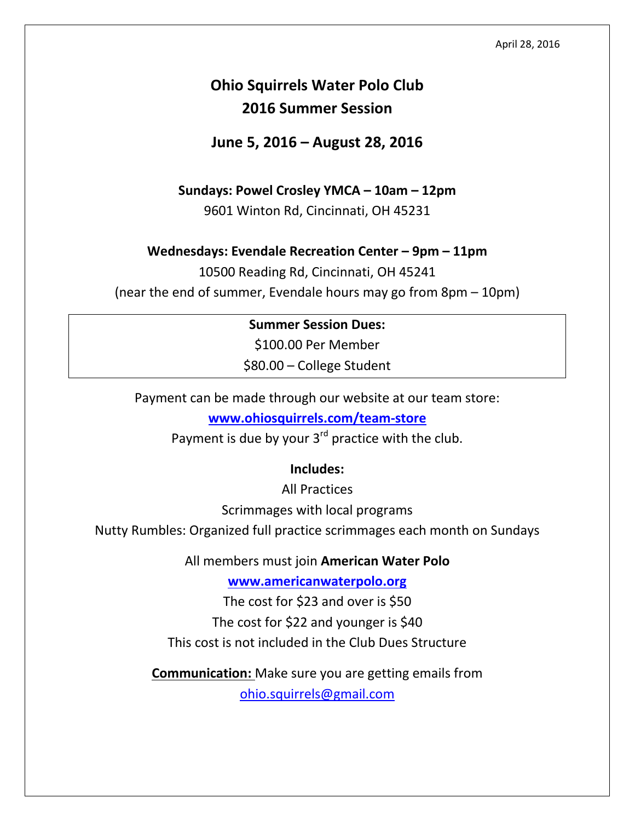# **Ohio Squirrels Water Polo Club 2016 Summer Session**

**June 5, 2016 – August 28, 2016**

#### **Sundays: Powel Crosley YMCA – 10am – 12pm**

9601 Winton Rd, Cincinnati, OH 45231

#### **Wednesdays: Evendale Recreation Center – 9pm – 11pm**

10500 Reading Rd, Cincinnati, OH 45241 (near the end of summer, Evendale hours may go from 8pm – 10pm)

### **Summer Session Dues:**

\$100.00 Per Member \$80.00 – College Student

Payment can be made through our website at our team store:

**[www.ohiosquirrels.com/team-store](http://www.ohiosquirrels.com/team-store)**

Payment is due by your  $3<sup>rd</sup>$  practice with the club.

#### **Includes:**

All Practices

Scrimmages with local programs

Nutty Rumbles: Organized full practice scrimmages each month on Sundays

All members must join **American Water Polo**

**[www.americanwaterpolo.org](http://www.americanwaterpolo.org/)**

The cost for \$23 and over is \$50

The cost for \$22 and younger is \$40

This cost is not included in the Club Dues Structure

**Communication:** Make sure you are getting emails from [ohio.squirrels@gmail.com](mailto:ohio.squirrels@gmail.com)